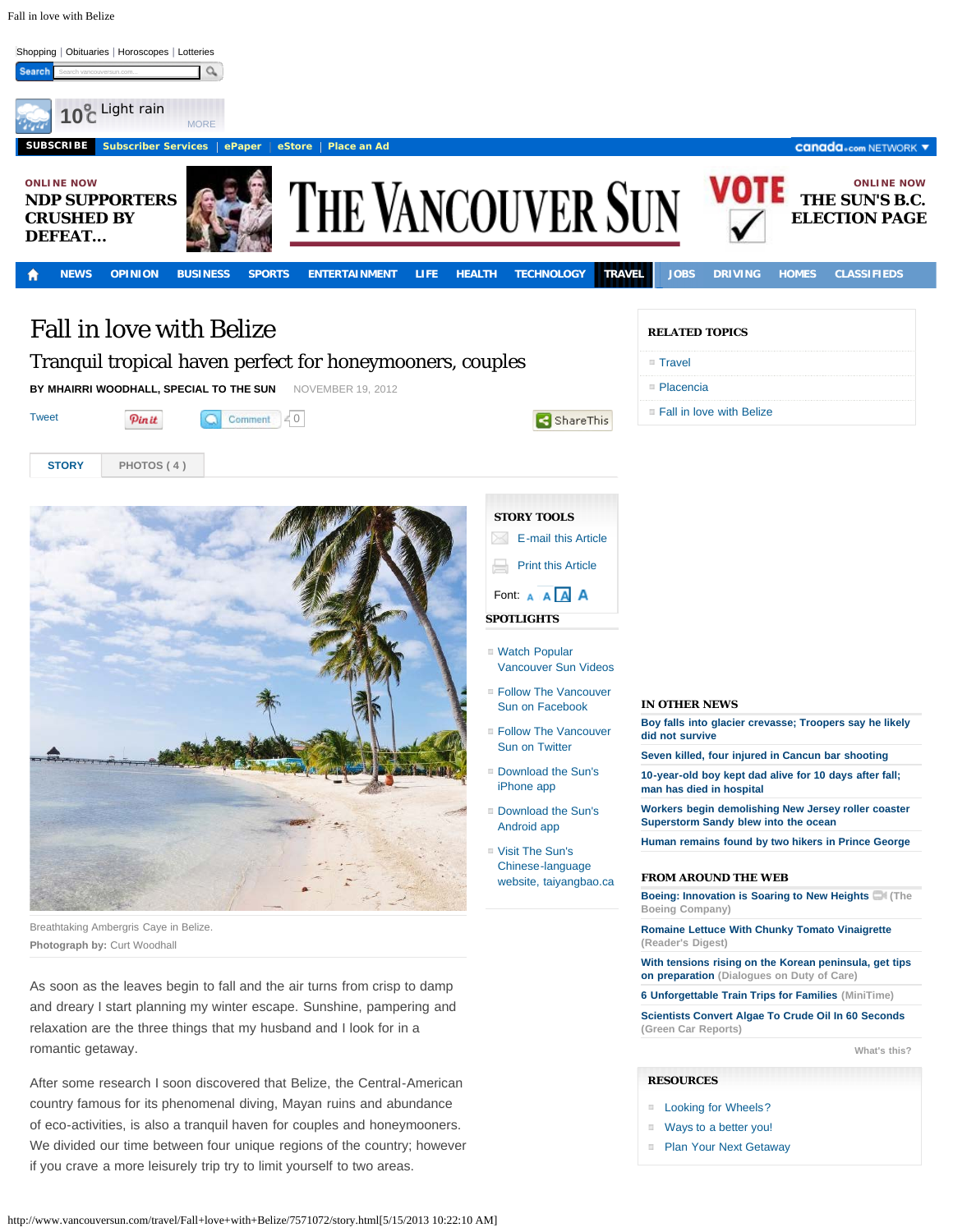Fall in love with Belize



■ [Ways to a better you!](http://adclick.g.doubleclick.net/aclk%253Fsa%253DL%2526ai%253DBt7zG6ZmTUeiXGoG0sQe3wIDYCYXti94CAAAAEAEgADgAWMXRjcVFYMnOq43spIQRggEXY2EtcHViLTAzMTYwMTAwNjkwNzg3MDiyARR3d3cudmFuY291dmVyc3VuLmNvbboBCWdmcF9pbWFnZcgBCdoBS2h0dHA6Ly93d3cudmFuY291dmVyc3VuLmNvbS90cmF2ZWwvRmFsbCtsb3ZlK3dpdGgrQmVsaXplLzc1NzEwNzIvc3RvcnkuaHRtbKkCrP4JCjt1sD7AAgLgAgDqAh0zMDgxL3ZzX3Rydi5jb20vdHJhdmVsLy9zdG9yefgCgtIekAPgA5gD4AOoAwHQBJBO4AQBoAYg%2526num%253D0%2526sig%253DAOD64_108IiG1zlVNNeo606r8qBZ3xN2Vw%2526client%253Dca-pub-0316010069078708%2526adurl%253Dhttp://www.canada.com/life/index.html) **[Plan Your Next Getaway](http://adclick.g.doubleclick.net/aclk%253Fsa%253DL%2526ai%253DBeRLG6ZmTUcPtMa-0sQf79oHQDpXri94CAAAAEAEgADgAWJXIjcVFYMnOq43spIQRggEXY2EtcHViLTAzMTYwMTAwNjkwNzg3MDiyARR3d3cudmFuY291dmVyc3VuLmNvbboBCWdmcF9pbWFnZcgBCdoBS2h0dHA6Ly93d3cudmFuY291dmVyc3VuLmNvbS90cmF2ZWwvRmFsbCtsb3ZlK3dpdGgrQmVsaXplLzc1NzEwNzIvc3RvcnkuaHRtbKkCjFOKy6BusD7AAgLgAgDqAh0zMDgxL3ZzX3Rydi5jb20vdHJhdmVsLy9zdG9yefgCgtIekAPgA5gD4AOoAwHQBJBO4AQBoAYg%2526num%253D0%2526sig%253DAOD64_3D7nMTp612FUosWYQ1BpKGKn0MQA%2526client%253Dca-pub-0316010069078708%2526adurl%253Dhttp://www.canada.com/travel/index.html)** 

of eco-activities, is also a tranquil haven for couples and honeymooners. We divided our time between four unique regions of the country; however if you crave a more leisurely trip try to limit yourself to two areas.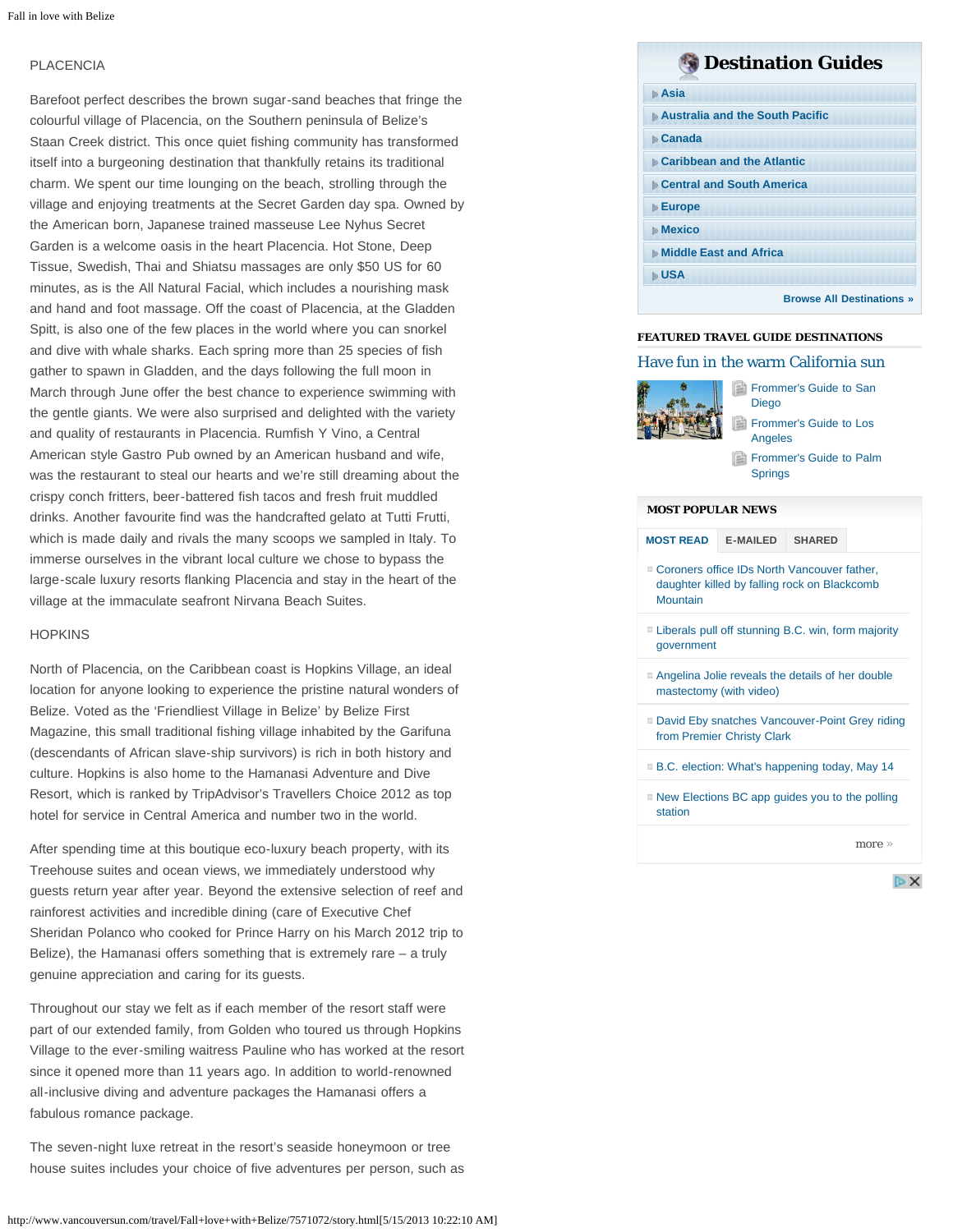### PLACENCIA

Barefoot perfect describes the brown sugar-sand beaches that fringe the colourful village of Placencia, on the Southern peninsula of Belize's Staan Creek district. This once quiet fishing community has transformed itself into a burgeoning destination that thankfully retains its traditional charm. We spent our time lounging on the beach, strolling through the village and enjoying treatments at the Secret Garden day spa. Owned by the American born, Japanese trained masseuse Lee Nyhus Secret Garden is a welcome oasis in the heart Placencia. Hot Stone, Deep Tissue, Swedish, Thai and Shiatsu massages are only \$50 US for 60 minutes, as is the All Natural Facial, which includes a nourishing mask and hand and foot massage. Off the coast of Placencia, at the Gladden Spitt, is also one of the few places in the world where you can snorkel and dive with whale sharks. Each spring more than 25 species of fish gather to spawn in Gladden, and the days following the full moon in March through June offer the best chance to experience swimming with the gentle giants. We were also surprised and delighted with the variety and quality of restaurants in Placencia. Rumfish Y Vino, a Central American style Gastro Pub owned by an American husband and wife, was the restaurant to steal our hearts and we're still dreaming about the crispy conch fritters, beer-battered fish tacos and fresh fruit muddled drinks. Another favourite find was the handcrafted gelato at Tutti Frutti, which is made daily and rivals the many scoops we sampled in Italy. To immerse ourselves in the vibrant local culture we chose to bypass the large-scale luxury resorts flanking Placencia and stay in the heart of the village at the immaculate seafront Nirvana Beach Suites.

#### **HOPKINS**

North of Placencia, on the Caribbean coast is Hopkins Village, an ideal location for anyone looking to experience the pristine natural wonders of Belize. Voted as the 'Friendliest Village in Belize' by Belize First Magazine, this small traditional fishing village inhabited by the Garifuna (descendants of African slave-ship survivors) is rich in both history and culture. Hopkins is also home to the Hamanasi Adventure and Dive Resort, which is ranked by TripAdvisor's Travellers Choice 2012 as top hotel for service in Central America and number two in the world.

After spending time at this boutique eco-luxury beach property, with its Treehouse suites and ocean views, we immediately understood why guests return year after year. Beyond the extensive selection of reef and rainforest activities and incredible dining (care of Executive Chef Sheridan Polanco who cooked for Prince Harry on his March 2012 trip to Belize), the Hamanasi offers something that is extremely rare – a truly genuine appreciation and caring for its guests.

Throughout our stay we felt as if each member of the resort staff were part of our extended family, from Golden who toured us through Hopkins Village to the ever-smiling waitress Pauline who has worked at the resort since it opened more than 11 years ago. In addition to world-renowned all-inclusive diving and adventure packages the Hamanasi offers a fabulous romance package.

The seven-night luxe retreat in the resort's seaside honeymoon or tree house suites includes your choice of five adventures per person, such as

# **Destination Guides**

#### **[Asia](http://www.vancouversun.com/travel/#)**

| ▶ Australia and the South Pacific |  |  |  |  |
|-----------------------------------|--|--|--|--|
| <b>■ Canada</b>                   |  |  |  |  |
| <b>Caribbean and the Atlantic</b> |  |  |  |  |
| <b>Central and South Americal</b> |  |  |  |  |
| $\triangleright$ Europe           |  |  |  |  |
| $\mathbb{D}$ Mexico               |  |  |  |  |
| <b>▶ Middle East and Africa</b>   |  |  |  |  |
| <b>⊪USA</b>                       |  |  |  |  |
| <b>Browse All Destinations »</b>  |  |  |  |  |

## **FEATURED TRAVEL GUIDE DESTINATIONS**

#### [Have fun in the warm California sun](http://www.vancouversun.com/travel/destinations/north-america/usa/california/traveloverview.html)



[Frommer's Guide to San](http://www.vancouversun.com/travel/destinations/north-america/usa//california/san-diego/traveloverview.html) [Diego](http://www.vancouversun.com/travel/destinations/north-america/usa//california/san-diego/traveloverview.html) [Frommer's Guide to Los](http://www.vancouversun.com/travel/destinations/north-america/usa/california/los-angeles/traveloverview.html)

[Angeles](http://www.vancouversun.com/travel/destinations/north-america/usa/california/los-angeles/traveloverview.html)

[Frommer's Guide to Palm](http://www.vancouversun.com/travel/destinations/north-america/usa/california/palm-springs/traveloverview.html) **[Springs](http://www.vancouversun.com/travel/destinations/north-america/usa/california/palm-springs/traveloverview.html)** 

#### **MOST POPULAR NEWS**

| <b>MOST READ</b>                                                                                          | <b>E-MAILED</b> | <b>SHARED</b> |            |  |
|-----------------------------------------------------------------------------------------------------------|-----------------|---------------|------------|--|
| □ Coroners office IDs North Vancouver father,<br>daughter killed by falling rock on Blackcomb<br>Mountain |                 |               |            |  |
| □ Liberals pull off stunning B.C. win, form majority<br>government                                        |                 |               |            |  |
| Angelina Jolie reveals the details of her double<br>mastectomy (with video)                               |                 |               |            |  |
| ■ David Eby snatches Vancouver-Point Grey riding<br>from Premier Christy Clark                            |                 |               |            |  |
| ■ B.C. election: What's happening today, May 14                                                           |                 |               |            |  |
| $\blacksquare$ New Elections BC app guides you to the polling<br>station                                  |                 |               |            |  |
|                                                                                                           |                 |               | more $\gg$ |  |

 $DX$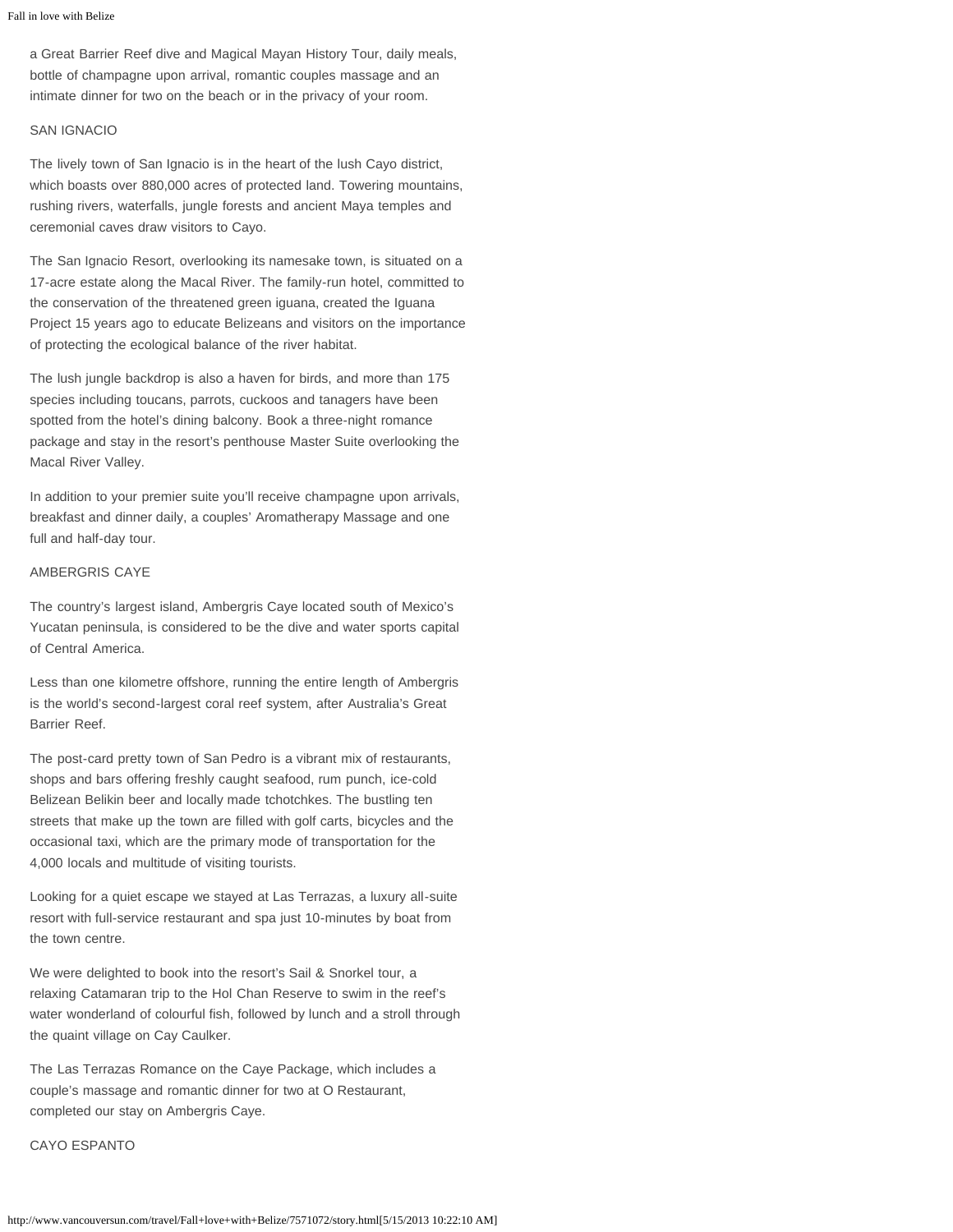a Great Barrier Reef dive and Magical Mayan History Tour, daily meals, bottle of champagne upon arrival, romantic couples massage and an intimate dinner for two on the beach or in the privacy of your room.

#### SAN IGNACIO

The lively town of San Ignacio is in the heart of the lush Cayo district, which boasts over 880,000 acres of protected land. Towering mountains, rushing rivers, waterfalls, jungle forests and ancient Maya temples and ceremonial caves draw visitors to Cayo.

The San Ignacio Resort, overlooking its namesake town, is situated on a 17-acre estate along the Macal River. The family-run hotel, committed to the conservation of the threatened green iguana, created the Iguana Project 15 years ago to educate Belizeans and visitors on the importance of protecting the ecological balance of the river habitat.

The lush jungle backdrop is also a haven for birds, and more than 175 species including toucans, parrots, cuckoos and tanagers have been spotted from the hotel's dining balcony. Book a three-night romance package and stay in the resort's penthouse Master Suite overlooking the Macal River Valley.

In addition to your premier suite you'll receive champagne upon arrivals, breakfast and dinner daily, a couples' Aromatherapy Massage and one full and half-day tour.

### AMBERGRIS CAYE

The country's largest island, Ambergris Caye located south of Mexico's Yucatan peninsula, is considered to be the dive and water sports capital of Central America.

Less than one kilometre offshore, running the entire length of Ambergris is the world's second-largest coral reef system, after Australia's Great Barrier Reef.

The post-card pretty town of San Pedro is a vibrant mix of restaurants, shops and bars offering freshly caught seafood, rum punch, ice-cold Belizean Belikin beer and locally made tchotchkes. The bustling ten streets that make up the town are filled with golf carts, bicycles and the occasional taxi, which are the primary mode of transportation for the 4,000 locals and multitude of visiting tourists.

Looking for a quiet escape we stayed at Las Terrazas, a luxury all-suite resort with full-service restaurant and spa just 10-minutes by boat from the town centre.

We were delighted to book into the resort's Sail & Snorkel tour, a relaxing Catamaran trip to the Hol Chan Reserve to swim in the reef's water wonderland of colourful fish, followed by lunch and a stroll through the quaint village on Cay Caulker.

The Las Terrazas Romance on the Caye Package, which includes a couple's massage and romantic dinner for two at O Restaurant, completed our stay on Ambergris Caye.

#### CAYO ESPANTO